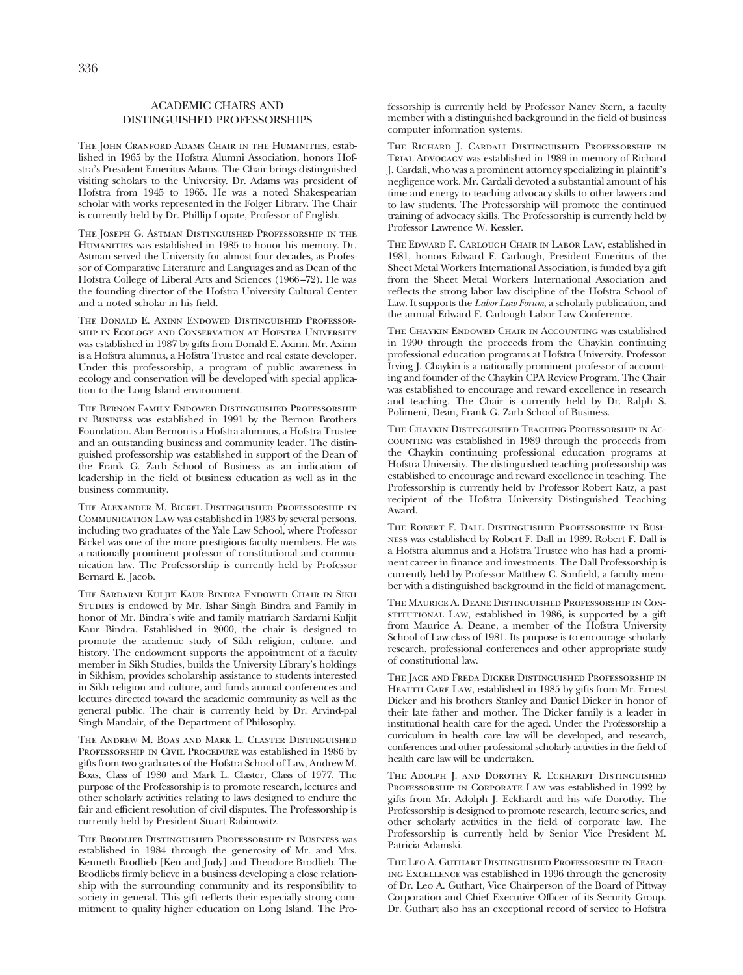## ACADEMIC CHAIRS AND DISTINGUISHED PROFESSORSHIPS

THE JOHN CRANFORD ADAMS CHAIR IN THE HUMANITIES, established in 1965 by the Hofstra Alumni Association, honors Hofstra's President Emeritus Adams. The Chair brings distinguished visiting scholars to the University. Dr. Adams was president of Hofstra from 1945 to 1965. He was a noted Shakespearian scholar with works represented in the Folger Library. The Chair is currently held by Dr. Phillip Lopate, Professor of English.

The Joseph G. Astman Distinguished Professorship in the Humanities was established in 1985 to honor his memory. Dr. Astman served the University for almost four decades, as Professor of Comparative Literature and Languages and as Dean of the Hofstra College of Liberal Arts and Sciences (1966 –72). He was the founding director of the Hofstra University Cultural Center and a noted scholar in his field.

The Donald E. Axinn Endowed Distinguished Professorship in Ecology and Conservation at Hofstra University was established in 1987 by gifts from Donald E. Axinn. Mr. Axinn is a Hofstra alumnus, a Hofstra Trustee and real estate developer. Under this professorship, a program of public awareness in ecology and conservation will be developed with special application to the Long Island environment.

The Bernon Family Endowed Distinguished Professorship in Business was established in 1991 by the Bernon Brothers Foundation. Alan Bernon is a Hofstra alumnus, a Hofstra Trustee and an outstanding business and community leader. The distinguished professorship was established in support of the Dean of the Frank G. Zarb School of Business as an indication of leadership in the field of business education as well as in the business community.

The Alexander M. Bickel Distinguished Professorship in Communication Law was established in 1983 by several persons, including two graduates of the Yale Law School, where Professor Bickel was one of the more prestigious faculty members. He was a nationally prominent professor of constitutional and communication law. The Professorship is currently held by Professor Bernard E. Jacob.

The Sardarni Kuljit Kaur Bindra Endowed Chair in Sikh Studies is endowed by Mr. Ishar Singh Bindra and Family in honor of Mr. Bindra's wife and family matriarch Sardarni Kuljit Kaur Bindra. Established in 2000, the chair is designed to promote the academic study of Sikh religion, culture, and history. The endowment supports the appointment of a faculty member in Sikh Studies, builds the University Library's holdings in Sikhism, provides scholarship assistance to students interested in Sikh religion and culture, and funds annual conferences and lectures directed toward the academic community as well as the general public. The chair is currently held by Dr. Arvind-pal Singh Mandair, of the Department of Philosophy.

The Andrew M. Boas and Mark L. Claster Distinguished PROFESSORSHIP IN CIVIL PROCEDURE was established in 1986 by gifts from two graduates of the Hofstra School of Law, Andrew M. Boas, Class of 1980 and Mark L. Claster, Class of 1977. The purpose of the Professorship is to promote research, lectures and other scholarly activities relating to laws designed to endure the fair and efficient resolution of civil disputes. The Professorship is currently held by President Stuart Rabinowitz.

The Brodlieb Distinguished Professorship in Business was established in 1984 through the generosity of Mr. and Mrs. Kenneth Brodlieb [Ken and Judy] and Theodore Brodlieb. The Brodliebs firmly believe in a business developing a close relationship with the surrounding community and its responsibility to society in general. This gift reflects their especially strong commitment to quality higher education on Long Island. The Professorship is currently held by Professor Nancy Stern, a faculty member with a distinguished background in the field of business computer information systems.

The Richard J. Cardali Distinguished Professorship in Trial Advocacy was established in 1989 in memory of Richard J. Cardali, who was a prominent attorney specializing in plaintiff's negligence work. Mr. Cardali devoted a substantial amount of his time and energy to teaching advocacy skills to other lawyers and to law students. The Professorship will promote the continued training of advocacy skills. The Professorship is currently held by Professor Lawrence W. Kessler.

The Edward F. Carlough Chair in Labor Law, established in 1981, honors Edward F. Carlough, President Emeritus of the Sheet Metal Workers International Association, is funded by a gift from the Sheet Metal Workers International Association and reflects the strong labor law discipline of the Hofstra School of Law. It supports the *Labor Law Forum*, a scholarly publication, and the annual Edward F. Carlough Labor Law Conference.

The Chaykin Endowed Chair in Accounting was established in 1990 through the proceeds from the Chaykin continuing professional education programs at Hofstra University. Professor Irving J. Chaykin is a nationally prominent professor of accounting and founder of the Chaykin CPA Review Program. The Chair was established to encourage and reward excellence in research and teaching. The Chair is currently held by Dr. Ralph S. Polimeni, Dean, Frank G. Zarb School of Business.

The Chaykin Distinguished Teaching Professorship in Accounting was established in 1989 through the proceeds from the Chaykin continuing professional education programs at Hofstra University. The distinguished teaching professorship was established to encourage and reward excellence in teaching. The Professorship is currently held by Professor Robert Katz, a past recipient of the Hofstra University Distinguished Teaching Award.

The Robert F. Dall Distinguished Professorship in Business was established by Robert F. Dall in 1989. Robert F. Dall is a Hofstra alumnus and a Hofstra Trustee who has had a prominent career in finance and investments. The Dall Professorship is currently held by Professor Matthew C. Sonfield, a faculty member with a distinguished background in the field of management.

The Maurice A. Deane Distinguished Professorship in ConsTITUTIONAL LAW, established in 1986, is supported by a gift from Maurice A. Deane, a member of the Hofstra University School of Law class of 1981. Its purpose is to encourage scholarly research, professional conferences and other appropriate study of constitutional law.

The Jack and Freda Dicker Distinguished Professorship in HEALTH CARE LAW, established in 1985 by gifts from Mr. Ernest Dicker and his brothers Stanley and Daniel Dicker in honor of their late father and mother. The Dicker family is a leader in institutional health care for the aged. Under the Professorship a curriculum in health care law will be developed, and research, conferences and other professional scholarly activities in the field of health care law will be undertaken.

THE ADOLPH J. AND DOROTHY R. ECKHARDT DISTINGUISHED PROFESSORSHIP IN CORPORATE LAW was established in 1992 by gifts from Mr. Adolph J. Eckhardt and his wife Dorothy. The Professorship is designed to promote research, lecture series, and other scholarly activities in the field of corporate law. The Professorship is currently held by Senior Vice President M. Patricia Adamski.

The Leo A. Guthart Distinguished Professorship in Teaching Excellence was established in 1996 through the generosity of Dr. Leo A. Guthart, Vice Chairperson of the Board of Pittway Corporation and Chief Executive Officer of its Security Group. Dr. Guthart also has an exceptional record of service to Hofstra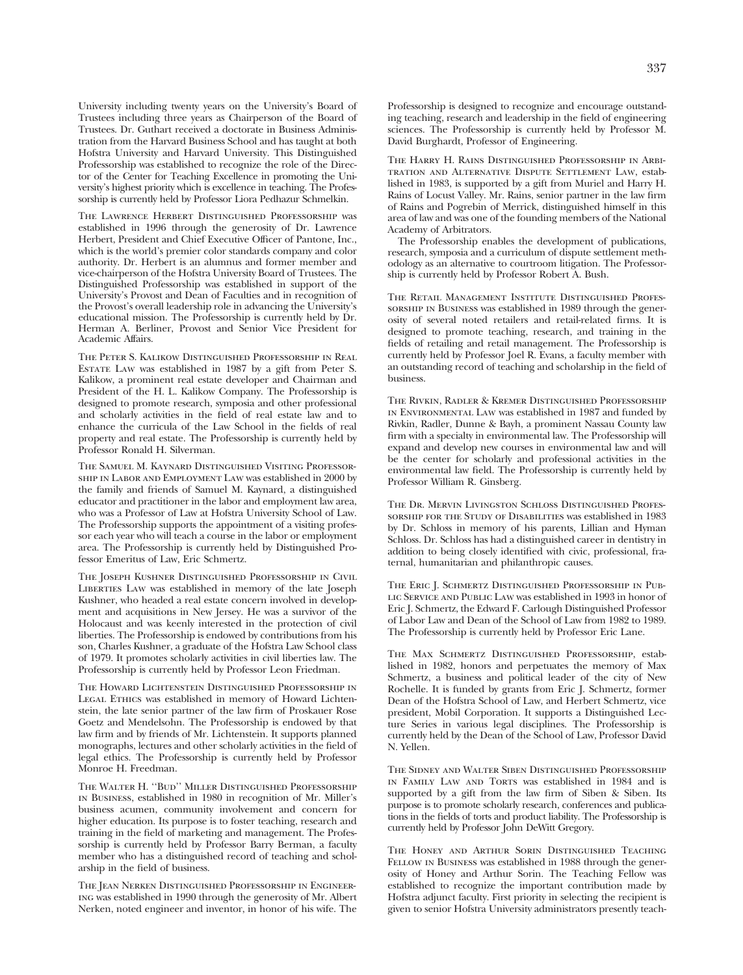University including twenty years on the University's Board of Trustees including three years as Chairperson of the Board of Trustees. Dr. Guthart received a doctorate in Business Administration from the Harvard Business School and has taught at both Hofstra University and Harvard University. This Distinguished Professorship was established to recognize the role of the Director of the Center for Teaching Excellence in promoting the University's highest priority which is excellence in teaching. The Professorship is currently held by Professor Liora Pedhazur Schmelkin.

The Lawrence Herbert Distinguished Professorship was established in 1996 through the generosity of Dr. Lawrence Herbert, President and Chief Executive Officer of Pantone, Inc., which is the world's premier color standards company and color authority. Dr. Herbert is an alumnus and former member and vice-chairperson of the Hofstra University Board of Trustees. The Distinguished Professorship was established in support of the University's Provost and Dean of Faculties and in recognition of the Provost's overall leadership role in advancing the University's educational mission. The Professorship is currently held by Dr. Herman A. Berliner, Provost and Senior Vice President for Academic Affairs.

The Peter S. Kalikow Distinguished Professorship in Real Estate Law was established in 1987 by a gift from Peter S. Kalikow, a prominent real estate developer and Chairman and President of the H. L. Kalikow Company. The Professorship is designed to promote research, symposia and other professional and scholarly activities in the field of real estate law and to enhance the curricula of the Law School in the fields of real property and real estate. The Professorship is currently held by Professor Ronald H. Silverman.

The Samuel M. Kaynard Distinguished Visiting Professorship in Labor and Employment Law was established in 2000 by the family and friends of Samuel M. Kaynard, a distinguished educator and practitioner in the labor and employment law area, who was a Professor of Law at Hofstra University School of Law. The Professorship supports the appointment of a visiting professor each year who will teach a course in the labor or employment area. The Professorship is currently held by Distinguished Professor Emeritus of Law, Eric Schmertz.

The Joseph Kushner Distinguished Professorship in Civil LIBERTIES LAW was established in memory of the late Joseph Kushner, who headed a real estate concern involved in development and acquisitions in New Jersey. He was a survivor of the Holocaust and was keenly interested in the protection of civil liberties. The Professorship is endowed by contributions from his son, Charles Kushner, a graduate of the Hofstra Law School class of 1979. It promotes scholarly activities in civil liberties law. The Professorship is currently held by Professor Leon Friedman.

The Howard Lichtenstein Distinguished Professorship in LEGAL ETHICS was established in memory of Howard Lichtenstein, the late senior partner of the law firm of Proskauer Rose Goetz and Mendelsohn. The Professorship is endowed by that law firm and by friends of Mr. Lichtenstein. It supports planned monographs, lectures and other scholarly activities in the field of legal ethics. The Professorship is currently held by Professor Monroe H. Freedman.

The Walter H. ''Bud'' Miller Distinguished Professorship in Business, established in 1980 in recognition of Mr. Miller's business acumen, community involvement and concern for higher education. Its purpose is to foster teaching, research and training in the field of marketing and management. The Professorship is currently held by Professor Barry Berman, a faculty member who has a distinguished record of teaching and scholarship in the field of business.

The Jean Nerken Distinguished Professorship in Engineering was established in 1990 through the generosity of Mr. Albert Nerken, noted engineer and inventor, in honor of his wife. The

Professorship is designed to recognize and encourage outstanding teaching, research and leadership in the field of engineering sciences. The Professorship is currently held by Professor M. David Burghardt, Professor of Engineering.

The Harry H. Rains Distinguished Professorship in Arbitration and Alternative Dispute Settlement Law, established in 1983, is supported by a gift from Muriel and Harry H. Rains of Locust Valley. Mr. Rains, senior partner in the law firm of Rains and Pogrebin of Merrick, distinguished himself in this area of law and was one of the founding members of the National Academy of Arbitrators.

The Professorship enables the development of publications, research, symposia and a curriculum of dispute settlement methodology as an alternative to courtroom litigation. The Professorship is currently held by Professor Robert A. Bush.

The Retail Management Institute Distinguished Professorship in Business was established in 1989 through the generosity of several noted retailers and retail-related firms. It is designed to promote teaching, research, and training in the fields of retailing and retail management. The Professorship is currently held by Professor Joel R. Evans, a faculty member with an outstanding record of teaching and scholarship in the field of business.

The Rivkin, Radler & Kremer Distinguished Professorship in Environmental Law was established in 1987 and funded by Rivkin, Radler, Dunne & Bayh, a prominent Nassau County law firm with a specialty in environmental law. The Professorship will expand and develop new courses in environmental law and will be the center for scholarly and professional activities in the environmental law field. The Professorship is currently held by Professor William R. Ginsberg.

The Dr. Mervin Livingston Schloss Distinguished Professorship for the Study of Disabilities was established in 1983 by Dr. Schloss in memory of his parents, Lillian and Hyman Schloss. Dr. Schloss has had a distinguished career in dentistry in addition to being closely identified with civic, professional, fraternal, humanitarian and philanthropic causes.

The Eric J. Schmertz Distinguished Professorship in Public Service and Public Law was established in 1993 in honor of Eric J. Schmertz, the Edward F. Carlough Distinguished Professor of Labor Law and Dean of the School of Law from 1982 to 1989. The Professorship is currently held by Professor Eric Lane.

The Max Schmertz Distinguished Professorship, established in 1982, honors and perpetuates the memory of Max Schmertz, a business and political leader of the city of New Rochelle. It is funded by grants from Eric J. Schmertz, former Dean of the Hofstra School of Law, and Herbert Schmertz, vice president, Mobil Corporation. It supports a Distinguished Lecture Series in various legal disciplines. The Professorship is currently held by the Dean of the School of Law, Professor David N. Yellen.

The Sidney and Walter Siben Distinguished Professorship IN FAMILY LAW AND TORTS was established in 1984 and is supported by a gift from the law firm of Siben & Siben. Its purpose is to promote scholarly research, conferences and publications in the fields of torts and product liability. The Professorship is currently held by Professor John DeWitt Gregory.

The Honey and Arthur Sorin Distinguished Teaching FELLOW IN BUSINESS was established in 1988 through the generosity of Honey and Arthur Sorin. The Teaching Fellow was established to recognize the important contribution made by Hofstra adjunct faculty. First priority in selecting the recipient is given to senior Hofstra University administrators presently teach